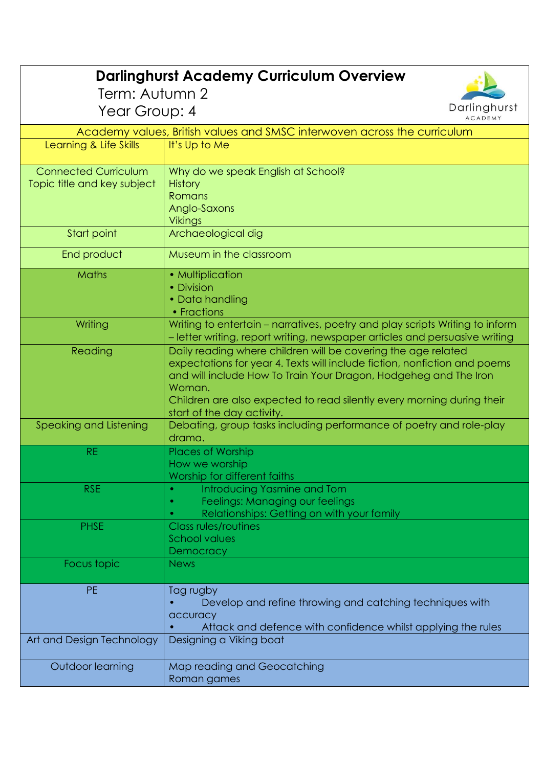| <b>Darlinghurst Academy Curriculum Overview</b>                          |                                                                                                                                                                                                                                                                                                                                  |  |
|--------------------------------------------------------------------------|----------------------------------------------------------------------------------------------------------------------------------------------------------------------------------------------------------------------------------------------------------------------------------------------------------------------------------|--|
| Term: Autumn 2                                                           |                                                                                                                                                                                                                                                                                                                                  |  |
| Darlinghurst<br>Year Group: 4<br><b>ACADEMY</b>                          |                                                                                                                                                                                                                                                                                                                                  |  |
| Academy values, British values and SMSC interwoven across the curriculum |                                                                                                                                                                                                                                                                                                                                  |  |
| Learning & Life Skills                                                   | It's Up to Me                                                                                                                                                                                                                                                                                                                    |  |
| <b>Connected Curriculum</b><br>Topic title and key subject               | Why do we speak English at School?<br><b>History</b><br>Romans<br>Anglo-Saxons<br><b>Vikings</b>                                                                                                                                                                                                                                 |  |
| Start point                                                              | Archaeological dig                                                                                                                                                                                                                                                                                                               |  |
| End product                                                              | Museum in the classroom                                                                                                                                                                                                                                                                                                          |  |
| Maths                                                                    | • Multiplication<br>• Division<br>• Data handling<br>• Fractions                                                                                                                                                                                                                                                                 |  |
| Writing                                                                  | Writing to entertain - narratives, poetry and play scripts Writing to inform<br>- letter writing, report writing, newspaper articles and persuasive writing                                                                                                                                                                      |  |
| Reading                                                                  | Daily reading where children will be covering the age related<br>expectations for year 4. Texts will include fiction, nonfiction and poems<br>and will include How To Train Your Dragon, Hodgeheg and The Iron<br>Woman.<br>Children are also expected to read silently every morning during their<br>start of the day activity. |  |
| Speaking and Listening                                                   | Debating, group tasks including performance of poetry and role-play<br>drama.                                                                                                                                                                                                                                                    |  |
| <b>RE</b>                                                                | <b>Places of Worship</b><br>How we worship<br>Worship for different faiths                                                                                                                                                                                                                                                       |  |
| <b>RSE</b>                                                               | Introducing Yasmine and Tom<br>Feelings: Managing our feelings<br>Relationships: Getting on with your family                                                                                                                                                                                                                     |  |
| <b>PHSE</b>                                                              | <b>Class rules/routines</b><br><b>School values</b><br>Democracy                                                                                                                                                                                                                                                                 |  |
| Focus topic                                                              | <b>News</b>                                                                                                                                                                                                                                                                                                                      |  |
| <b>PE</b>                                                                | Tag rugby<br>Develop and refine throwing and catching techniques with<br>accuracy<br>Attack and defence with confidence whilst applying the rules                                                                                                                                                                                |  |
| Art and Design Technology                                                | Designing a Viking boat                                                                                                                                                                                                                                                                                                          |  |
| Outdoor learning                                                         | Map reading and Geocatching<br>Roman games                                                                                                                                                                                                                                                                                       |  |